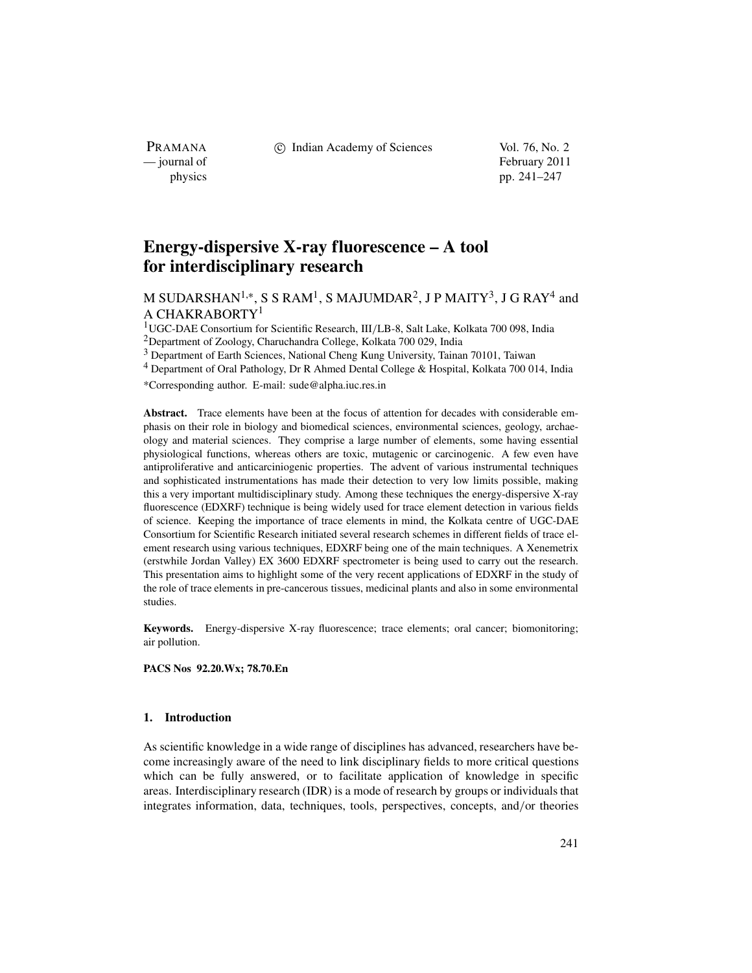c Indian Academy of Sciences Vol. 76, No. 2

PRAMANA<br>
— journal of

February 2011 physics pp. 241–247

# **Energy-dispersive X-ray fluorescence – A tool for interdisciplinary research**

M SUDARSHAN<sup>1,∗</sup>, S S RAM<sup>1</sup>, S MAJUMDAR<sup>2</sup>, J P MAITY<sup>3</sup>, J G RAY<sup>4</sup> and A CHAKRABORTY<sup>1</sup>

1UGC-DAE Consortium for Scientific Research, III*/*LB-8, Salt Lake, Kolkata 700 098, India 2Department of Zoology, Charuchandra College, Kolkata 700 029, India

<sup>3</sup> Department of Earth Sciences, National Cheng Kung University, Tainan 70101, Taiwan

<sup>4</sup> Department of Oral Pathology, Dr R Ahmed Dental College & Hospital, Kolkata 700 014, India

\*Corresponding author. E-mail: sude@alpha.iuc.res.in

**Abstract.** Trace elements have been at the focus of attention for decades with considerable emphasis on their role in biology and biomedical sciences, environmental sciences, geology, archaeology and material sciences. They comprise a large number of elements, some having essential physiological functions, whereas others are toxic, mutagenic or carcinogenic. A few even have antiproliferative and anticarciniogenic properties. The advent of various instrumental techniques and sophisticated instrumentations has made their detection to very low limits possible, making this a very important multidisciplinary study. Among these techniques the energy-dispersive X-ray fluorescence (EDXRF) technique is being widely used for trace element detection in various fields of science. Keeping the importance of trace elements in mind, the Kolkata centre of UGC-DAE Consortium for Scientific Research initiated several research schemes in different fields of trace element research using various techniques, EDXRF being one of the main techniques. A Xenemetrix (erstwhile Jordan Valley) EX 3600 EDXRF spectrometer is being used to carry out the research. This presentation aims to highlight some of the very recent applications of EDXRF in the study of the role of trace elements in pre-cancerous tissues, medicinal plants and also in some environmental studies.

**Keywords.** Energy-dispersive X-ray fluorescence; trace elements; oral cancer; biomonitoring; air pollution.

**PACS Nos 92.20.Wx; 78.70.En**

# **1. Introduction**

As scientific knowledge in a wide range of disciplines has advanced, researchers have become increasingly aware of the need to link disciplinary fields to more critical questions which can be fully answered, or to facilitate application of knowledge in specific areas. Interdisciplinary research (IDR) is a mode of research by groups or individuals that integrates information, data, techniques, tools, perspectives, concepts, and*/*or theories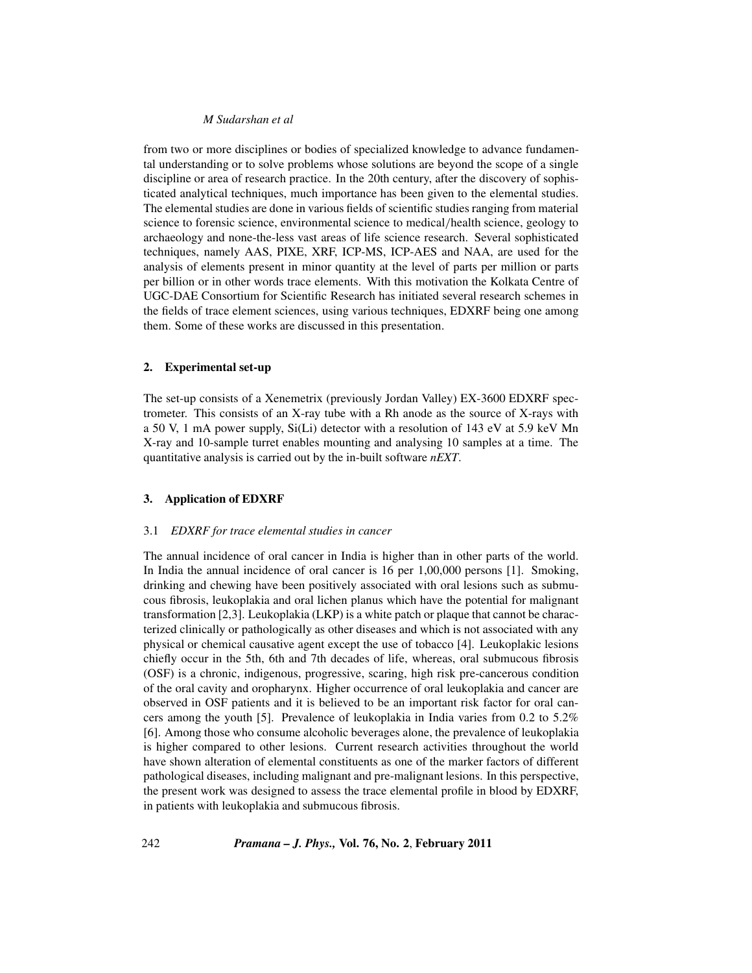## *M Sudarshan et al*

from two or more disciplines or bodies of specialized knowledge to advance fundamental understanding or to solve problems whose solutions are beyond the scope of a single discipline or area of research practice. In the 20th century, after the discovery of sophisticated analytical techniques, much importance has been given to the elemental studies. The elemental studies are done in various fields of scientific studies ranging from material science to forensic science, environmental science to medical*/*health science, geology to archaeology and none-the-less vast areas of life science research. Several sophisticated techniques, namely AAS, PIXE, XRF, ICP-MS, ICP-AES and NAA, are used for the analysis of elements present in minor quantity at the level of parts per million or parts per billion or in other words trace elements. With this motivation the Kolkata Centre of UGC-DAE Consortium for Scientific Research has initiated several research schemes in the fields of trace element sciences, using various techniques, EDXRF being one among them. Some of these works are discussed in this presentation.

## **2. Experimental set-up**

The set-up consists of a Xenemetrix (previously Jordan Valley) EX-3600 EDXRF spectrometer. This consists of an X-ray tube with a Rh anode as the source of X-rays with a 50 V, 1 mA power supply, Si(Li) detector with a resolution of 143 eV at 5.9 keV Mn X-ray and 10-sample turret enables mounting and analysing 10 samples at a time. The quantitative analysis is carried out by the in-built software *nEXT*.

## **3. Application of EDXRF**

## 3.1 *EDXRF for trace elemental studies in cancer*

The annual incidence of oral cancer in India is higher than in other parts of the world. In India the annual incidence of oral cancer is 16 per 1,00,000 persons [1]. Smoking, drinking and chewing have been positively associated with oral lesions such as submucous fibrosis, leukoplakia and oral lichen planus which have the potential for malignant transformation [2,3]. Leukoplakia (LKP) is a white patch or plaque that cannot be characterized clinically or pathologically as other diseases and which is not associated with any physical or chemical causative agent except the use of tobacco [4]. Leukoplakic lesions chiefly occur in the 5th, 6th and 7th decades of life, whereas, oral submucous fibrosis (OSF) is a chronic, indigenous, progressive, scaring, high risk pre-cancerous condition of the oral cavity and oropharynx. Higher occurrence of oral leukoplakia and cancer are observed in OSF patients and it is believed to be an important risk factor for oral cancers among the youth [5]. Prevalence of leukoplakia in India varies from 0.2 to 5.2% [6]. Among those who consume alcoholic beverages alone, the prevalence of leukoplakia is higher compared to other lesions. Current research activities throughout the world have shown alteration of elemental constituents as one of the marker factors of different pathological diseases, including malignant and pre-malignant lesions. In this perspective, the present work was designed to assess the trace elemental profile in blood by EDXRF, in patients with leukoplakia and submucous fibrosis.

242 *Pramana – J. Phys.,* **Vol. 76, No. 2**, **February 2011**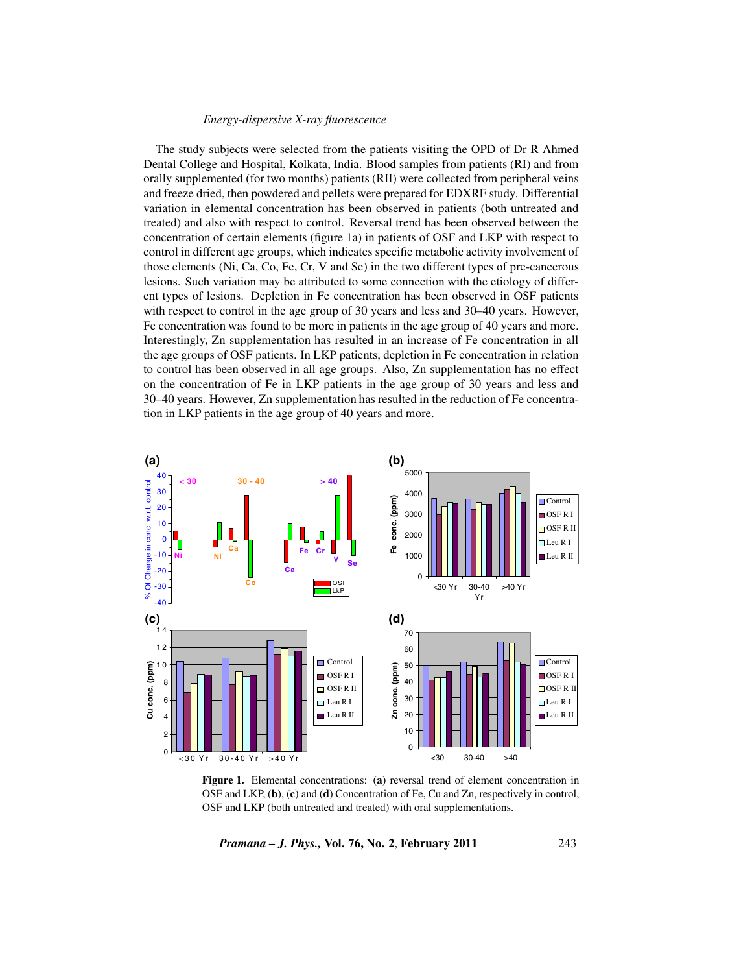## *Energy-dispersive X-ray fluorescence*

The study subjects were selected from the patients visiting the OPD of Dr R Ahmed Dental College and Hospital, Kolkata, India. Blood samples from patients (RI) and from orally supplemented (for two months) patients (RII) were collected from peripheral veins and freeze dried, then powdered and pellets were prepared for EDXRF study. Differential variation in elemental concentration has been observed in patients (both untreated and treated) and also with respect to control. Reversal trend has been observed between the concentration of certain elements (figure 1a) in patients of OSF and LKP with respect to control in different age groups, which indicates specific metabolic activity involvement of those elements (Ni, Ca, Co, Fe, Cr, V and Se) in the two different types of pre-cancerous lesions. Such variation may be attributed to some connection with the etiology of different types of lesions. Depletion in Fe concentration has been observed in OSF patients with respect to control in the age group of 30 years and less and 30–40 years. However, Fe concentration was found to be more in patients in the age group of 40 years and more. Interestingly, Zn supplementation has resulted in an increase of Fe concentration in all the age groups of OSF patients. In LKP patients, depletion in Fe concentration in relation to control has been observed in all age groups. Also, Zn supplementation has no effect on the concentration of Fe in LKP patients in the age group of 30 years and less and 30–40 years. However, Zn supplementation has resulted in the reduction of Fe concentration in LKP patients in the age group of 40 years and more.



**Figure 1.** Elemental concentrations: (**a**) reversal trend of element concentration in OSF and LKP, (**b**), (**c**) and (**d**) Concentration of Fe, Cu and Zn, respectively in control, OSF and LKP (both untreated and treated) with oral supplementations.

*Pramana – J. Phys.,* **Vol. 76, No. 2**, **February 2011** 243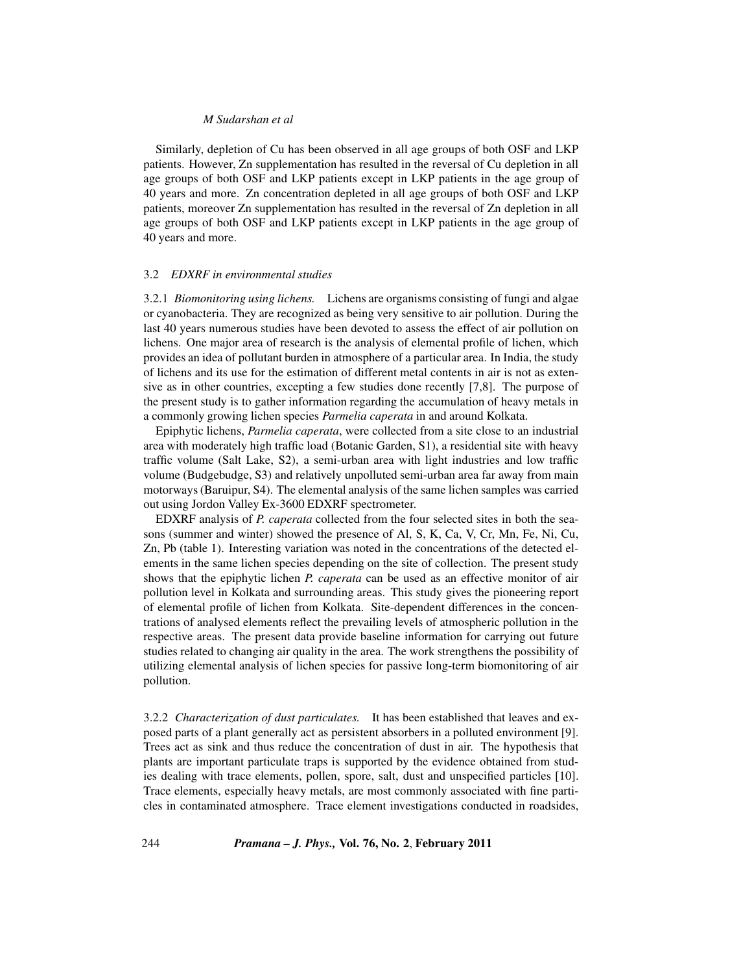## *M Sudarshan et al*

Similarly, depletion of Cu has been observed in all age groups of both OSF and LKP patients. However, Zn supplementation has resulted in the reversal of Cu depletion in all age groups of both OSF and LKP patients except in LKP patients in the age group of 40 years and more. Zn concentration depleted in all age groups of both OSF and LKP patients, moreover Zn supplementation has resulted in the reversal of Zn depletion in all age groups of both OSF and LKP patients except in LKP patients in the age group of 40 years and more.

#### 3.2 *EDXRF in environmental studies*

3.2.1 *Biomonitoring using lichens.* Lichens are organisms consisting of fungi and algae or cyanobacteria. They are recognized as being very sensitive to air pollution. During the last 40 years numerous studies have been devoted to assess the effect of air pollution on lichens. One major area of research is the analysis of elemental profile of lichen, which provides an idea of pollutant burden in atmosphere of a particular area. In India, the study of lichens and its use for the estimation of different metal contents in air is not as extensive as in other countries, excepting a few studies done recently [7,8]. The purpose of the present study is to gather information regarding the accumulation of heavy metals in a commonly growing lichen species *Parmelia caperata* in and around Kolkata.

Epiphytic lichens, *Parmelia caperata*, were collected from a site close to an industrial area with moderately high traffic load (Botanic Garden, S1), a residential site with heavy traffic volume (Salt Lake, S2), a semi-urban area with light industries and low traffic volume (Budgebudge, S3) and relatively unpolluted semi-urban area far away from main motorways (Baruipur, S4). The elemental analysis of the same lichen samples was carried out using Jordon Valley Ex-3600 EDXRF spectrometer.

EDXRF analysis of *P. caperata* collected from the four selected sites in both the seasons (summer and winter) showed the presence of Al, S, K, Ca, V, Cr, Mn, Fe, Ni, Cu, Zn, Pb (table 1). Interesting variation was noted in the concentrations of the detected elements in the same lichen species depending on the site of collection. The present study shows that the epiphytic lichen *P. caperata* can be used as an effective monitor of air pollution level in Kolkata and surrounding areas. This study gives the pioneering report of elemental profile of lichen from Kolkata. Site-dependent differences in the concentrations of analysed elements reflect the prevailing levels of atmospheric pollution in the respective areas. The present data provide baseline information for carrying out future studies related to changing air quality in the area. The work strengthens the possibility of utilizing elemental analysis of lichen species for passive long-term biomonitoring of air pollution.

3.2.2 *Characterization of dust particulates.* It has been established that leaves and exposed parts of a plant generally act as persistent absorbers in a polluted environment [9]. Trees act as sink and thus reduce the concentration of dust in air. The hypothesis that plants are important particulate traps is supported by the evidence obtained from studies dealing with trace elements, pollen, spore, salt, dust and unspecified particles [10]. Trace elements, especially heavy metals, are most commonly associated with fine particles in contaminated atmosphere. Trace element investigations conducted in roadsides,

244 *Pramana – J. Phys.,* **Vol. 76, No. 2**, **February 2011**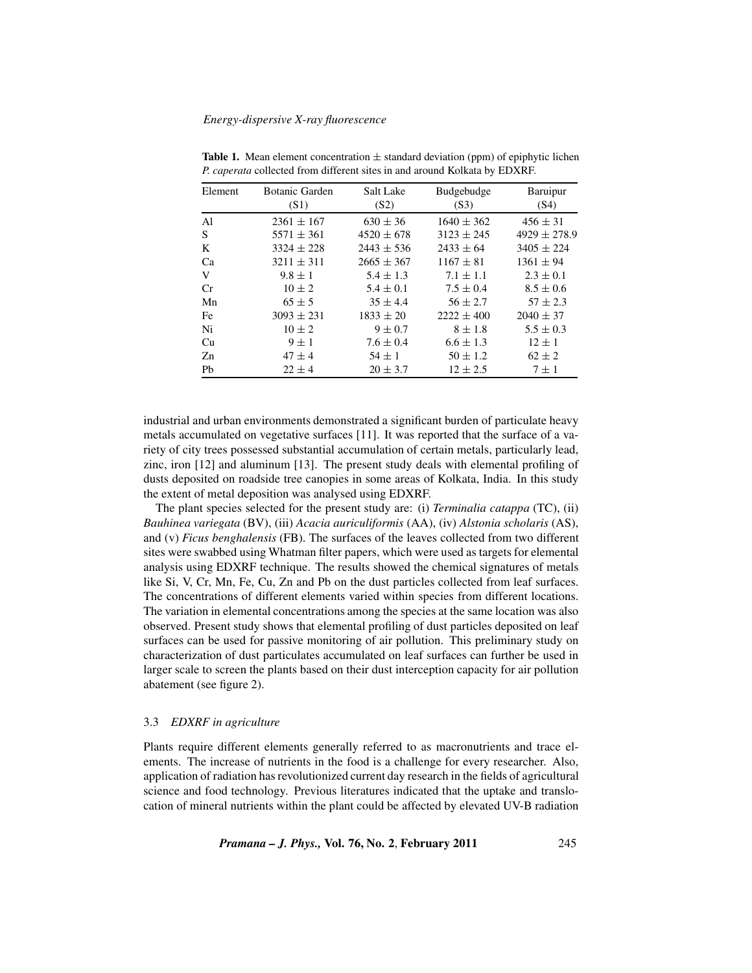| Element       | Botanic Garden<br>(S1) | Salt Lake<br>(S2) | Budgebudge<br>(S3) | Baruipur<br>(S4) |
|---------------|------------------------|-------------------|--------------------|------------------|
| $\mathsf{A}1$ | $2361 \pm 167$         | $630 \pm 36$      | $1640 \pm 362$     | $456 \pm 31$     |
| S             | $5571 \pm 361$         | $4520 \pm 678$    | $3123 \pm 245$     | $4929 \pm 278.9$ |
| K             | $3324 \pm 228$         | $2443 \pm 536$    | $2433 \pm 64$      | $3405 \pm 224$   |
| Ca            | $3211 \pm 311$         | $2665 \pm 367$    | $1167 \pm 81$      | $1361 \pm 94$    |
| V             | $9.8 \pm 1$            | $5.4 \pm 1.3$     | $7.1 \pm 1.1$      | $2.3 \pm 0.1$    |
| Cr            | $10 \pm 2$             | $5.4 \pm 0.1$     | $7.5 \pm 0.4$      | $8.5 \pm 0.6$    |
| Mn            | $65 \pm 5$             | $35 \pm 4.4$      | $56 \pm 2.7$       | $57 \pm 2.3$     |
| Fe            | $3093 \pm 231$         | $1833 \pm 20$     | $2222 \pm 400$     | $2040 \pm 37$    |
| Ni            | $10 \pm 2$             | $9 \pm 0.7$       | $8 \pm 1.8$        | $5.5 \pm 0.3$    |
| Cu            | $9 \pm 1$              | $7.6 \pm 0.4$     | $6.6 \pm 1.3$      | $12 \pm 1$       |
| Zn            | $47 \pm 4$             | $54 \pm 1$        | $50 \pm 1.2$       | $62 \pm 2$       |
| Pb            | $22 \pm 4$             | $20 \pm 3.7$      | $12 \pm 2.5$       | $7 \pm 1$        |

**Table 1.** Mean element concentration  $\pm$  standard deviation (ppm) of epiphytic lichen *P. caperata* collected from different sites in and around Kolkata by EDXRF.

industrial and urban environments demonstrated a significant burden of particulate heavy metals accumulated on vegetative surfaces [11]. It was reported that the surface of a variety of city trees possessed substantial accumulation of certain metals, particularly lead, zinc, iron [12] and aluminum [13]. The present study deals with elemental profiling of dusts deposited on roadside tree canopies in some areas of Kolkata, India. In this study the extent of metal deposition was analysed using EDXRF.

The plant species selected for the present study are: (i) *Terminalia catappa* (TC), (ii) *Bauhinea variegata* (BV), (iii) *Acacia auriculiformis* (AA), (iv) *Alstonia scholaris* (AS), and (v) *Ficus benghalensis* (FB). The surfaces of the leaves collected from two different sites were swabbed using Whatman filter papers, which were used as targets for elemental analysis using EDXRF technique. The results showed the chemical signatures of metals like Si, V, Cr, Mn, Fe, Cu, Zn and Pb on the dust particles collected from leaf surfaces. The concentrations of different elements varied within species from different locations. The variation in elemental concentrations among the species at the same location was also observed. Present study shows that elemental profiling of dust particles deposited on leaf surfaces can be used for passive monitoring of air pollution. This preliminary study on characterization of dust particulates accumulated on leaf surfaces can further be used in larger scale to screen the plants based on their dust interception capacity for air pollution abatement (see figure 2).

### 3.3 *EDXRF in agriculture*

Plants require different elements generally referred to as macronutrients and trace elements. The increase of nutrients in the food is a challenge for every researcher. Also, application of radiation has revolutionized current day research in the fields of agricultural science and food technology. Previous literatures indicated that the uptake and translocation of mineral nutrients within the plant could be affected by elevated UV-B radiation

*Pramana – J. Phys.,* **Vol. 76, No. 2**, **February 2011** 245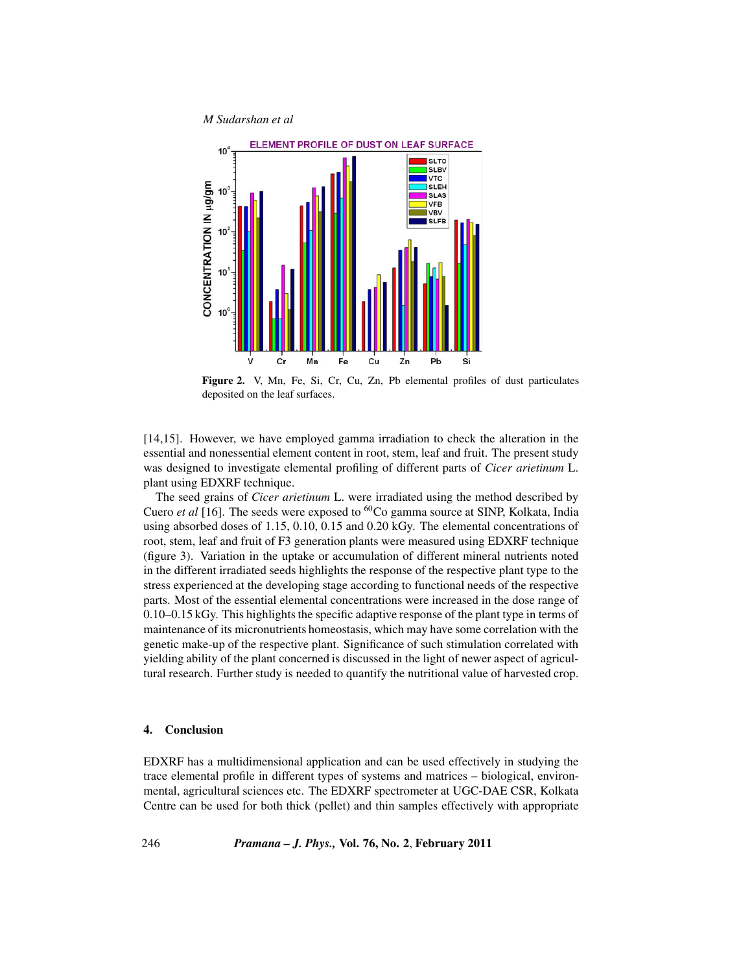*M Sudarshan et al*



**Figure 2.** V, Mn, Fe, Si, Cr, Cu, Zn, Pb elemental profiles of dust particulates deposited on the leaf surfaces.

[14,15]. However, we have employed gamma irradiation to check the alteration in the essential and nonessential element content in root, stem, leaf and fruit. The present study was designed to investigate elemental profiling of different parts of *Cicer arietinum* L. plant using EDXRF technique.

The seed grains of *Cicer arietinum* L. were irradiated using the method described by Cuero *et al* [16]. The seeds were exposed to  ${}^{60}Co$  gamma source at SINP, Kolkata, India using absorbed doses of 1.15, 0.10, 0.15 and 0.20 kGy. The elemental concentrations of root, stem, leaf and fruit of F3 generation plants were measured using EDXRF technique (figure 3). Variation in the uptake or accumulation of different mineral nutrients noted in the different irradiated seeds highlights the response of the respective plant type to the stress experienced at the developing stage according to functional needs of the respective parts. Most of the essential elemental concentrations were increased in the dose range of 0.10–0.15 kGy. This highlights the specific adaptive response of the plant type in terms of maintenance of its micronutrients homeostasis, which may have some correlation with the genetic make-up of the respective plant. Significance of such stimulation correlated with yielding ability of the plant concerned is discussed in the light of newer aspect of agricultural research. Further study is needed to quantify the nutritional value of harvested crop.

## **4. Conclusion**

EDXRF has a multidimensional application and can be used effectively in studying the trace elemental profile in different types of systems and matrices – biological, environmental, agricultural sciences etc. The EDXRF spectrometer at UGC-DAE CSR, Kolkata Centre can be used for both thick (pellet) and thin samples effectively with appropriate

246 *Pramana – J. Phys.,* **Vol. 76, No. 2**, **February 2011**